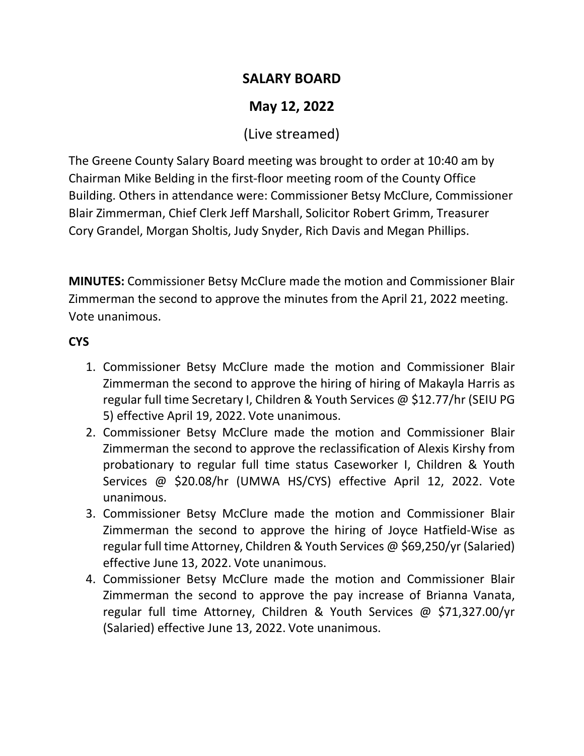## **SALARY BOARD**

# **May 12, 2022**

## (Live streamed)

The Greene County Salary Board meeting was brought to order at 10:40 am by Chairman Mike Belding in the first-floor meeting room of the County Office Building. Others in attendance were: Commissioner Betsy McClure, Commissioner Blair Zimmerman, Chief Clerk Jeff Marshall, Solicitor Robert Grimm, Treasurer Cory Grandel, Morgan Sholtis, Judy Snyder, Rich Davis and Megan Phillips.

**MINUTES:** Commissioner Betsy McClure made the motion and Commissioner Blair Zimmerman the second to approve the minutes from the April 21, 2022 meeting. Vote unanimous.

### **CYS**

- 1. Commissioner Betsy McClure made the motion and Commissioner Blair Zimmerman the second to approve the hiring of hiring of Makayla Harris as regular full time Secretary I, Children & Youth Services @ \$12.77/hr (SEIU PG 5) effective April 19, 2022. Vote unanimous.
- 2. Commissioner Betsy McClure made the motion and Commissioner Blair Zimmerman the second to approve the reclassification of Alexis Kirshy from probationary to regular full time status Caseworker I, Children & Youth Services @ \$20.08/hr (UMWA HS/CYS) effective April 12, 2022. Vote unanimous.
- 3. Commissioner Betsy McClure made the motion and Commissioner Blair Zimmerman the second to approve the hiring of Joyce Hatfield-Wise as regular full time Attorney, Children & Youth Services @ \$69,250/yr (Salaried) effective June 13, 2022. Vote unanimous.
- 4. Commissioner Betsy McClure made the motion and Commissioner Blair Zimmerman the second to approve the pay increase of Brianna Vanata, regular full time Attorney, Children & Youth Services @ \$71,327.00/yr (Salaried) effective June 13, 2022. Vote unanimous.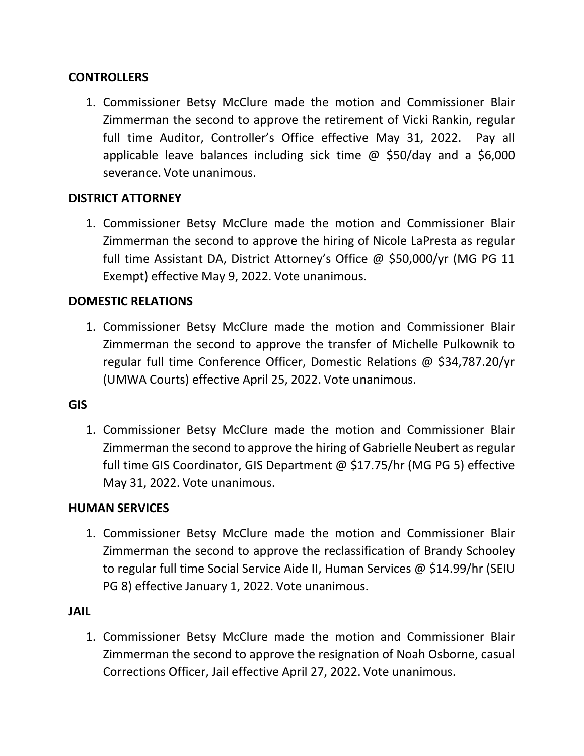#### **CONTROLLERS**

1. Commissioner Betsy McClure made the motion and Commissioner Blair Zimmerman the second to approve the retirement of Vicki Rankin, regular full time Auditor, Controller's Office effective May 31, 2022. Pay all applicable leave balances including sick time @ \$50/day and a \$6,000 severance. Vote unanimous.

#### **DISTRICT ATTORNEY**

1. Commissioner Betsy McClure made the motion and Commissioner Blair Zimmerman the second to approve the hiring of Nicole LaPresta as regular full time Assistant DA, District Attorney's Office @ \$50,000/yr (MG PG 11 Exempt) effective May 9, 2022. Vote unanimous.

#### **DOMESTIC RELATIONS**

1. Commissioner Betsy McClure made the motion and Commissioner Blair Zimmerman the second to approve the transfer of Michelle Pulkownik to regular full time Conference Officer, Domestic Relations @ \$34,787.20/yr (UMWA Courts) effective April 25, 2022. Vote unanimous.

#### **GIS**

1. Commissioner Betsy McClure made the motion and Commissioner Blair Zimmerman the second to approve the hiring of Gabrielle Neubert as regular full time GIS Coordinator, GIS Department @ \$17.75/hr (MG PG 5) effective May 31, 2022. Vote unanimous.

#### **HUMAN SERVICES**

1. Commissioner Betsy McClure made the motion and Commissioner Blair Zimmerman the second to approve the reclassification of Brandy Schooley to regular full time Social Service Aide II, Human Services @ \$14.99/hr (SEIU PG 8) effective January 1, 2022. Vote unanimous.

#### **JAIL**

1. Commissioner Betsy McClure made the motion and Commissioner Blair Zimmerman the second to approve the resignation of Noah Osborne, casual Corrections Officer, Jail effective April 27, 2022. Vote unanimous.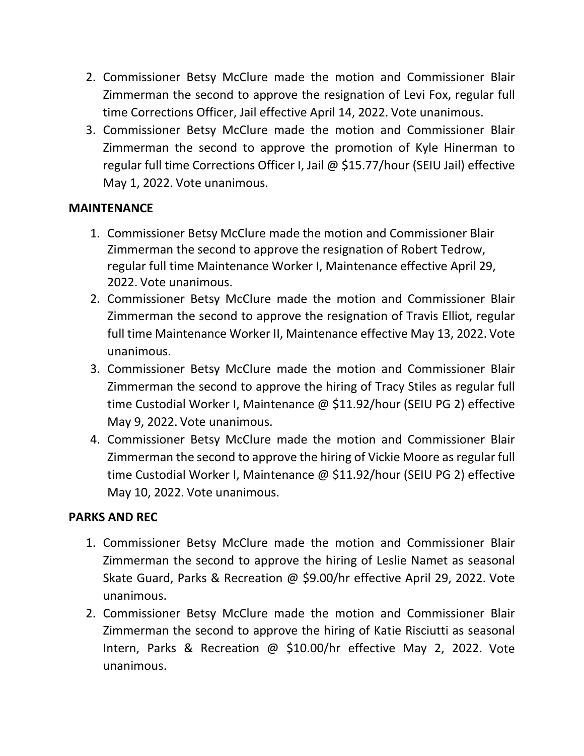- 2. Commissioner Betsy McClure made the motion and Commissioner Blair Zimmerman the second to approve the resignation of Levi Fox, regular full time Corrections Officer, Jail effective April 14, 2022. Vote unanimous.
- 3. Commissioner Betsy McClure made the motion and Commissioner Blair Zimmerman the second to approve the promotion of Kyle Hinerman to regular full time Corrections Officer I, Jail @ \$15.77/hour (SEIU Jail) effective May 1, 2022. Vote unanimous.

#### **MAINTENANCE**

- 1. Commissioner Betsy McClure made the motion and Commissioner Blair Zimmerman the second to approve the resignation of Robert Tedrow, regular full time Maintenance Worker I, Maintenance effective April 29, 2022. Vote unanimous.
- 2. Commissioner Betsy McClure made the motion and Commissioner Blair Zimmerman the second to approve the resignation of Travis Elliot, regular full time Maintenance Worker II, Maintenance effective May 13, 2022. Vote unanimous.
- 3. Commissioner Betsy McClure made the motion and Commissioner Blair Zimmerman the second to approve the hiring of Tracy Stiles as regular full time Custodial Worker I, Maintenance @ \$11.92/hour (SEIU PG 2) effective May 9, 2022. Vote unanimous.
- 4. Commissioner Betsy McClure made the motion and Commissioner Blair Zimmerman the second to approve the hiring of Vickie Moore as regular full time Custodial Worker I, Maintenance @ \$11.92/hour (SEIU PG 2) effective May 10, 2022. Vote unanimous.

#### **PARKS AND REC**

- 1. Commissioner Betsy McClure made the motion and Commissioner Blair Zimmerman the second to approve the hiring of Leslie Namet as seasonal Skate Guard, Parks & Recreation @ \$9.00/hr effective April 29, 2022. Vote unanimous.
- 2. Commissioner Betsy McClure made the motion and Commissioner Blair Zimmerman the second to approve the hiring of Katie Risciutti as seasonal Intern, Parks & Recreation @ \$10.00/hr effective May 2, 2022. Vote unanimous.